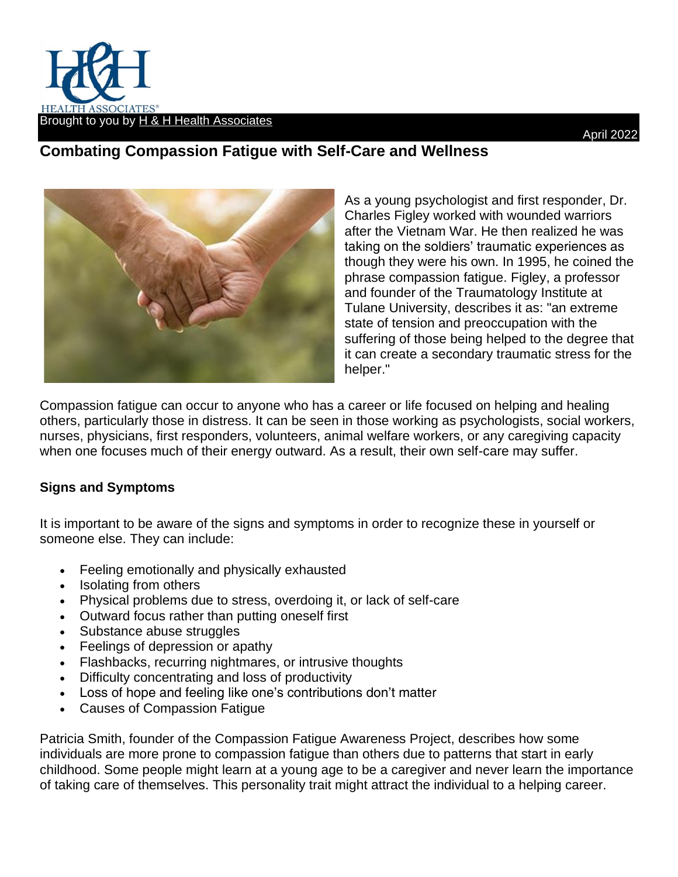

## **Combating Compassion Fatigue with Self-Care and Wellness**



As a young psychologist and first responder, Dr. Charles Figley worked with wounded warriors after the Vietnam War. He then realized he was taking on the soldiers' traumatic experiences as though they were his own. In 1995, he coined the phrase compassion fatigue. Figley, a professor and founder of the Traumatology Institute at Tulane University, describes it as: "an extreme state of tension and preoccupation with the suffering of those being helped to the degree that it can create a secondary traumatic stress for the helper."

Compassion fatigue can occur to anyone who has a career or life focused on helping and healing others, particularly those in distress. It can be seen in those working as psychologists, social workers, nurses, physicians, first responders, volunteers, animal welfare workers, or any caregiving capacity when one focuses much of their energy outward. As a result, their own self-care may suffer.

## **Signs and Symptoms**

It is important to be aware of the signs and symptoms in order to recognize these in yourself or someone else. They can include:

- Feeling emotionally and physically exhausted
- Isolating from others
- Physical problems due to stress, overdoing it, or lack of self-care
- Outward focus rather than putting oneself first
- Substance abuse struggles
- Feelings of depression or apathy
- Flashbacks, recurring nightmares, or intrusive thoughts
- Difficulty concentrating and loss of productivity
- Loss of hope and feeling like one's contributions don't matter
- Causes of Compassion Fatigue

Patricia Smith, founder of the Compassion Fatigue Awareness Project, describes how some individuals are more prone to compassion fatigue than others due to patterns that start in early childhood. Some people might learn at a young age to be a caregiver and never learn the importance of taking care of themselves. This personality trait might attract the individual to a helping career.